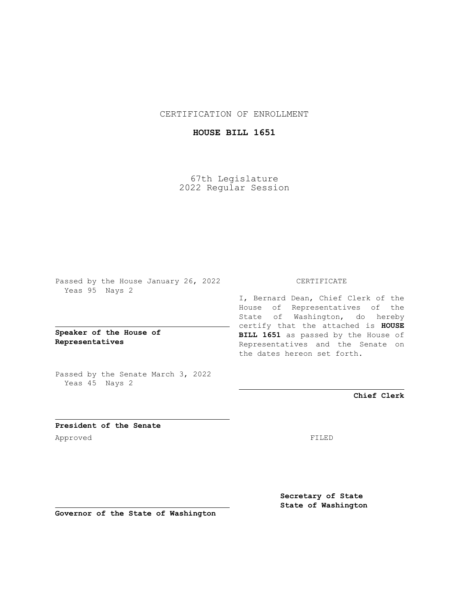CERTIFICATION OF ENROLLMENT

## **HOUSE BILL 1651**

67th Legislature 2022 Regular Session

Passed by the House January 26, 2022 Yeas 95 Nays 2

**Speaker of the House of Representatives**

Passed by the Senate March 3, 2022 Yeas 45 Nays 2

## CERTIFICATE

I, Bernard Dean, Chief Clerk of the House of Representatives of the State of Washington, do hereby certify that the attached is **HOUSE BILL 1651** as passed by the House of Representatives and the Senate on the dates hereon set forth.

**Chief Clerk**

**President of the Senate** Approved FILED

**Secretary of State State of Washington**

**Governor of the State of Washington**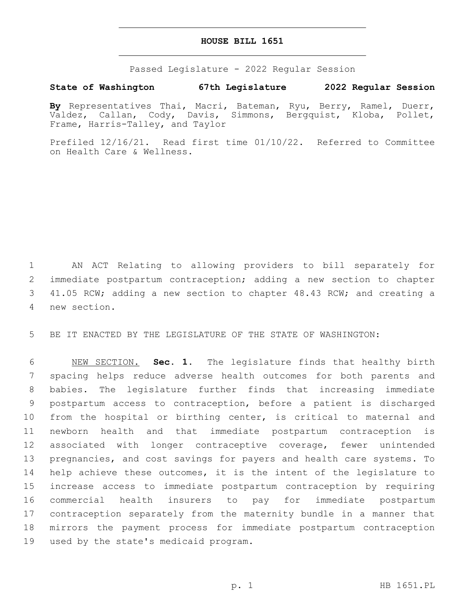## **HOUSE BILL 1651**

Passed Legislature - 2022 Regular Session

## **State of Washington 67th Legislature 2022 Regular Session**

**By** Representatives Thai, Macri, Bateman, Ryu, Berry, Ramel, Duerr, Valdez, Callan, Cody, Davis, Simmons, Bergquist, Kloba, Pollet, Frame, Harris-Talley, and Taylor

Prefiled 12/16/21. Read first time 01/10/22. Referred to Committee on Health Care & Wellness.

 AN ACT Relating to allowing providers to bill separately for immediate postpartum contraception; adding a new section to chapter 41.05 RCW; adding a new section to chapter 48.43 RCW; and creating a new section.4

BE IT ENACTED BY THE LEGISLATURE OF THE STATE OF WASHINGTON:

 NEW SECTION. **Sec. 1.** The legislature finds that healthy birth spacing helps reduce adverse health outcomes for both parents and babies. The legislature further finds that increasing immediate postpartum access to contraception, before a patient is discharged from the hospital or birthing center, is critical to maternal and newborn health and that immediate postpartum contraception is associated with longer contraceptive coverage, fewer unintended pregnancies, and cost savings for payers and health care systems. To help achieve these outcomes, it is the intent of the legislature to increase access to immediate postpartum contraception by requiring commercial health insurers to pay for immediate postpartum contraception separately from the maternity bundle in a manner that mirrors the payment process for immediate postpartum contraception used by the state's medicaid program.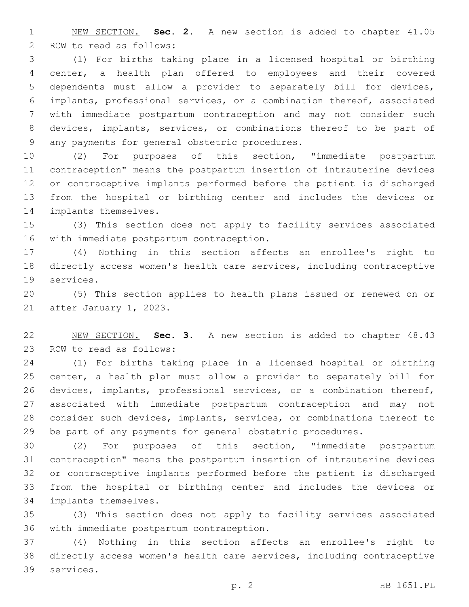NEW SECTION. **Sec. 2.** A new section is added to chapter 41.05 2 RCW to read as follows:

 (1) For births taking place in a licensed hospital or birthing center, a health plan offered to employees and their covered dependents must allow a provider to separately bill for devices, implants, professional services, or a combination thereof, associated with immediate postpartum contraception and may not consider such devices, implants, services, or combinations thereof to be part of 9 any payments for general obstetric procedures.

 (2) For purposes of this section, "immediate postpartum contraception" means the postpartum insertion of intrauterine devices or contraceptive implants performed before the patient is discharged from the hospital or birthing center and includes the devices or 14 implants themselves.

 (3) This section does not apply to facility services associated 16 with immediate postpartum contraception.

 (4) Nothing in this section affects an enrollee's right to directly access women's health care services, including contraceptive 19 services.

 (5) This section applies to health plans issued or renewed on or 21 after January 1, 2023.

 NEW SECTION. **Sec. 3.** A new section is added to chapter 48.43 23 RCW to read as follows:

 (1) For births taking place in a licensed hospital or birthing center, a health plan must allow a provider to separately bill for devices, implants, professional services, or a combination thereof, associated with immediate postpartum contraception and may not consider such devices, implants, services, or combinations thereof to be part of any payments for general obstetric procedures.

 (2) For purposes of this section, "immediate postpartum contraception" means the postpartum insertion of intrauterine devices or contraceptive implants performed before the patient is discharged from the hospital or birthing center and includes the devices or 34 implants themselves.

 (3) This section does not apply to facility services associated 36 with immediate postpartum contraception.

 (4) Nothing in this section affects an enrollee's right to directly access women's health care services, including contraceptive 39 services.

p. 2 HB 1651.PL